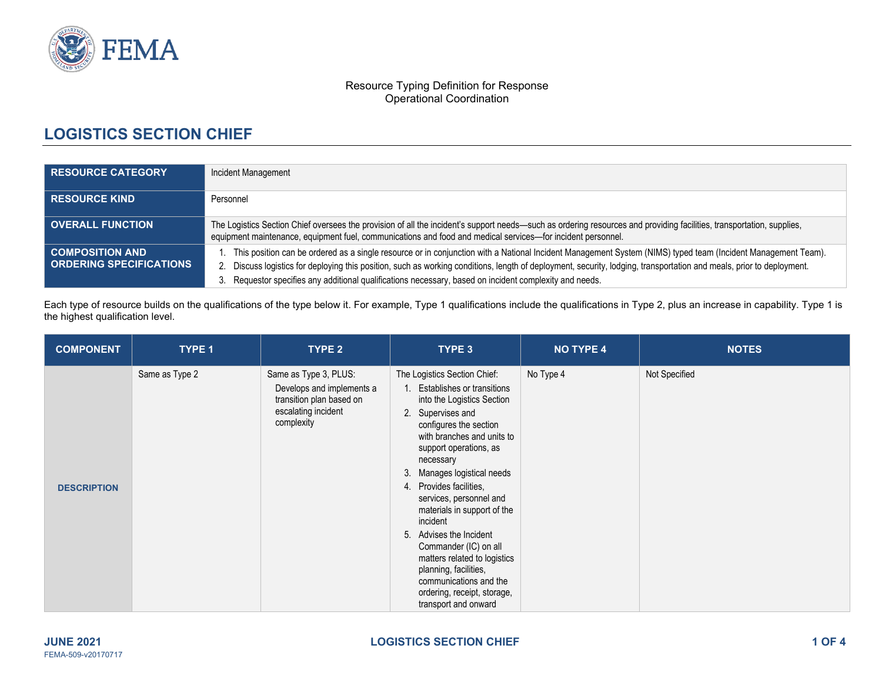

#### Resource Typing Definition for Response Operational Coordination

# **LOGISTICS SECTION CHIEF**

| <b>RESOURCE CATEGORY</b>                                 | Incident Management                                                                                                                                                                                                                                                                                                                                                                                                                              |  |  |  |
|----------------------------------------------------------|--------------------------------------------------------------------------------------------------------------------------------------------------------------------------------------------------------------------------------------------------------------------------------------------------------------------------------------------------------------------------------------------------------------------------------------------------|--|--|--|
| <b>RESOURCE KIND</b>                                     | Personnel                                                                                                                                                                                                                                                                                                                                                                                                                                        |  |  |  |
| <b>OVERALL FUNCTION</b>                                  | The Logistics Section Chief oversees the provision of all the incident's support needs—such as ordering resources and providing facilities, transportation, supplies,<br>equipment maintenance, equipment fuel, communications and food and medical services-for incident personnel.                                                                                                                                                             |  |  |  |
| <b>COMPOSITION AND</b><br><b>ORDERING SPECIFICATIONS</b> | This position can be ordered as a single resource or in conjunction with a National Incident Management System (NIMS) typed team (Incident Management Team).<br>Discuss logistics for deploying this position, such as working conditions, length of deployment, security, lodging, transportation and meals, prior to deployment.<br>Requestor specifies any additional qualifications necessary, based on incident complexity and needs.<br>3. |  |  |  |

Each type of resource builds on the qualifications of the type below it. For example, Type 1 qualifications include the qualifications in Type 2, plus an increase in capability. Type 1 is the highest qualification level.

| <b>COMPONENT</b>   | TYPE 1         | TYPE 2                                                                                                              | TYPE 3                                                                                                                                                                                                                                                                                                                                                                                                                                                                                                                                          | <b>NO TYPE 4</b> | <b>NOTES</b>  |
|--------------------|----------------|---------------------------------------------------------------------------------------------------------------------|-------------------------------------------------------------------------------------------------------------------------------------------------------------------------------------------------------------------------------------------------------------------------------------------------------------------------------------------------------------------------------------------------------------------------------------------------------------------------------------------------------------------------------------------------|------------------|---------------|
| <b>DESCRIPTION</b> | Same as Type 2 | Same as Type 3, PLUS:<br>Develops and implements a<br>transition plan based on<br>escalating incident<br>complexity | The Logistics Section Chief:<br>Establishes or transitions<br>into the Logistics Section<br>2. Supervises and<br>configures the section<br>with branches and units to<br>support operations, as<br>necessary<br>Manages logistical needs<br>3<br>4. Provides facilities,<br>services, personnel and<br>materials in support of the<br>incident<br>Advises the Incident<br>5.<br>Commander (IC) on all<br>matters related to logistics<br>planning, facilities,<br>communications and the<br>ordering, receipt, storage,<br>transport and onward | No Type 4        | Not Specified |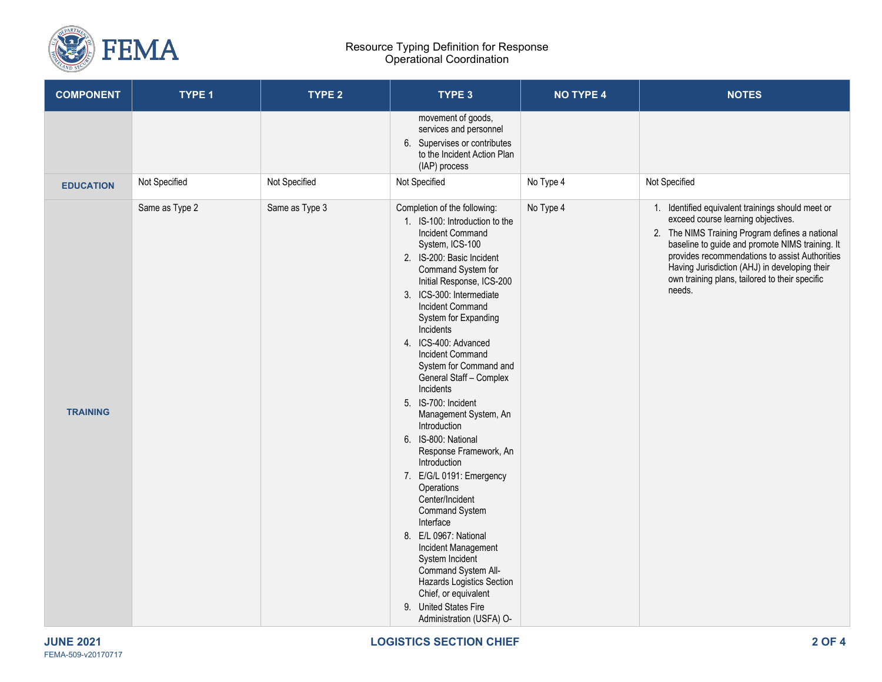

#### Resource Typing Definition for Response Operational Coordination

| <b>COMPONENT</b> | TYPE 1         | TYPE <sub>2</sub> | TYPE 3                                                                                                                                                                                                                                                                                                                                                                                                                                                                                                                                                                                                                                                                                                                                                                                                                                                | <b>NO TYPE 4</b> | <b>NOTES</b>                                                                                                                                                                                                                                                                                                                                                 |
|------------------|----------------|-------------------|-------------------------------------------------------------------------------------------------------------------------------------------------------------------------------------------------------------------------------------------------------------------------------------------------------------------------------------------------------------------------------------------------------------------------------------------------------------------------------------------------------------------------------------------------------------------------------------------------------------------------------------------------------------------------------------------------------------------------------------------------------------------------------------------------------------------------------------------------------|------------------|--------------------------------------------------------------------------------------------------------------------------------------------------------------------------------------------------------------------------------------------------------------------------------------------------------------------------------------------------------------|
|                  |                |                   | movement of goods,<br>services and personnel<br>6. Supervises or contributes<br>to the Incident Action Plan<br>(IAP) process                                                                                                                                                                                                                                                                                                                                                                                                                                                                                                                                                                                                                                                                                                                          |                  |                                                                                                                                                                                                                                                                                                                                                              |
| <b>EDUCATION</b> | Not Specified  | Not Specified     | Not Specified                                                                                                                                                                                                                                                                                                                                                                                                                                                                                                                                                                                                                                                                                                                                                                                                                                         | No Type 4        | Not Specified                                                                                                                                                                                                                                                                                                                                                |
| <b>TRAINING</b>  | Same as Type 2 | Same as Type 3    | Completion of the following:<br>1. IS-100: Introduction to the<br><b>Incident Command</b><br>System, ICS-100<br>2. IS-200: Basic Incident<br>Command System for<br>Initial Response, ICS-200<br>3. ICS-300: Intermediate<br><b>Incident Command</b><br>System for Expanding<br>Incidents<br>4. ICS-400: Advanced<br><b>Incident Command</b><br>System for Command and<br>General Staff - Complex<br>Incidents<br>5. IS-700: Incident<br>Management System, An<br>Introduction<br>6. IS-800: National<br>Response Framework, An<br>Introduction<br>7. E/G/L 0191: Emergency<br>Operations<br>Center/Incident<br><b>Command System</b><br>Interface<br>8. E/L 0967: National<br>Incident Management<br>System Incident<br>Command System All-<br>Hazards Logistics Section<br>Chief, or equivalent<br>9. United States Fire<br>Administration (USFA) O- | No Type 4        | 1. Identified equivalent trainings should meet or<br>exceed course learning objectives.<br>2. The NIMS Training Program defines a national<br>baseline to guide and promote NIMS training. It<br>provides recommendations to assist Authorities<br>Having Jurisdiction (AHJ) in developing their<br>own training plans, tailored to their specific<br>needs. |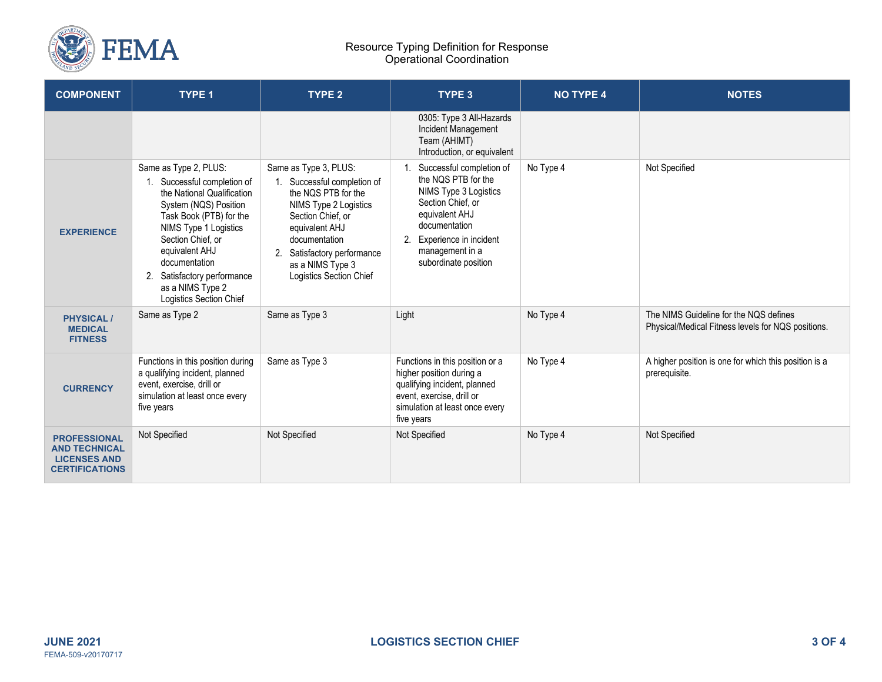

#### Resource Typing Definition for Response Operational Coordination

| <b>COMPONENT</b>                                                                            | <b>TYPE 1</b>                                                                                                                                                                                                                                                                                         | TYPE <sub>2</sub>                                                                                                                                                                                                                          | <b>TYPE 3</b>                                                                                                                                                                                            | <b>NO TYPE 4</b> | <b>NOTES</b>                                                                                 |
|---------------------------------------------------------------------------------------------|-------------------------------------------------------------------------------------------------------------------------------------------------------------------------------------------------------------------------------------------------------------------------------------------------------|--------------------------------------------------------------------------------------------------------------------------------------------------------------------------------------------------------------------------------------------|----------------------------------------------------------------------------------------------------------------------------------------------------------------------------------------------------------|------------------|----------------------------------------------------------------------------------------------|
|                                                                                             |                                                                                                                                                                                                                                                                                                       |                                                                                                                                                                                                                                            | 0305: Type 3 All-Hazards<br>Incident Management<br>Team (AHIMT)<br>Introduction, or equivalent                                                                                                           |                  |                                                                                              |
| <b>EXPERIENCE</b>                                                                           | Same as Type 2, PLUS:<br>Successful completion of<br>the National Qualification<br>System (NQS) Position<br>Task Book (PTB) for the<br>NIMS Type 1 Logistics<br>Section Chief, or<br>equivalent AHJ<br>documentation<br>Satisfactory performance<br>2.<br>as a NIMS Type 2<br>Logistics Section Chief | Same as Type 3, PLUS:<br>1. Successful completion of<br>the NQS PTB for the<br>NIMS Type 2 Logistics<br>Section Chief, or<br>equivalent AHJ<br>documentation<br>2. Satisfactory performance<br>as a NIMS Type 3<br>Logistics Section Chief | Successful completion of<br>the NOS PTB for the<br>NIMS Type 3 Logistics<br>Section Chief, or<br>equivalent AHJ<br>documentation<br>2. Experience in incident<br>management in a<br>subordinate position | No Type 4        | Not Specified                                                                                |
| <b>PHYSICAL/</b><br><b>MEDICAL</b><br><b>FITNESS</b>                                        | Same as Type 2                                                                                                                                                                                                                                                                                        | Same as Type 3                                                                                                                                                                                                                             | Light                                                                                                                                                                                                    | No Type 4        | The NIMS Guideline for the NQS defines<br>Physical/Medical Fitness levels for NQS positions. |
| <b>CURRENCY</b>                                                                             | Functions in this position during<br>a qualifying incident, planned<br>event, exercise, drill or<br>simulation at least once every<br>five years                                                                                                                                                      | Same as Type 3                                                                                                                                                                                                                             | Functions in this position or a<br>higher position during a<br>qualifying incident, planned<br>event, exercise, drill or<br>simulation at least once every<br>five years                                 | No Type 4        | A higher position is one for which this position is a<br>prerequisite.                       |
| <b>PROFESSIONAL</b><br><b>AND TECHNICAL</b><br><b>LICENSES AND</b><br><b>CERTIFICATIONS</b> | Not Specified                                                                                                                                                                                                                                                                                         | Not Specified                                                                                                                                                                                                                              | Not Specified                                                                                                                                                                                            | No Type 4        | Not Specified                                                                                |